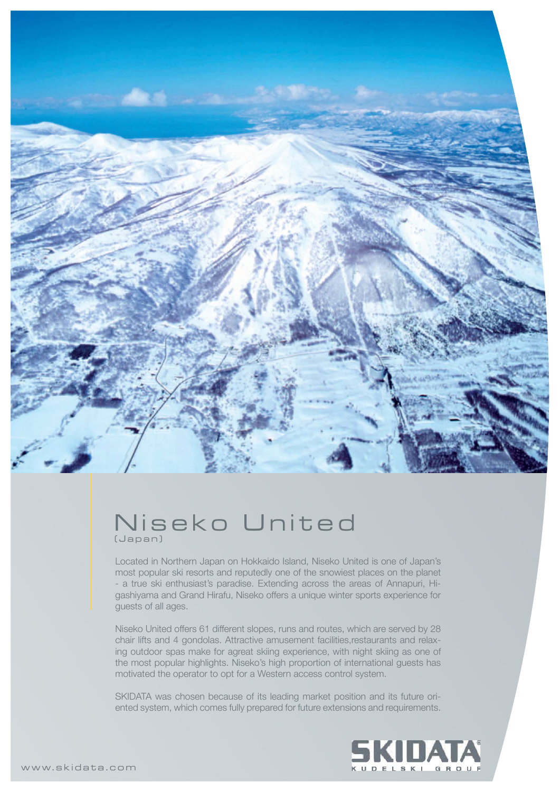

## Niseko United (Japan)

Located in Northern Japan on Hokkaido Island, Niseko United is one of Japan's most popular ski resorts and reputedly one of the snowiest places on the planet - a true ski enthusiast's paradise. Extending across the areas of Annapuri, Higashiyama and Grand Hirafu, Niseko offers a unique winter sports experience for guests of all ages.

Niseko United offers 61 different slopes, runs and routes, which are served by 28 chair lifts and 4 gondolas. Attractive amusement facilities,restaurants and relaxing outdoor spas make for agreat skiing experience, with night skiing as one of the most popular highlights. Niseko's high proportion of international guests has motivated the operator to opt for a Western access control system.

SKIDATA was chosen because of its leading market position and its future oriented system, which comes fully prepared for future extensions and requirements.